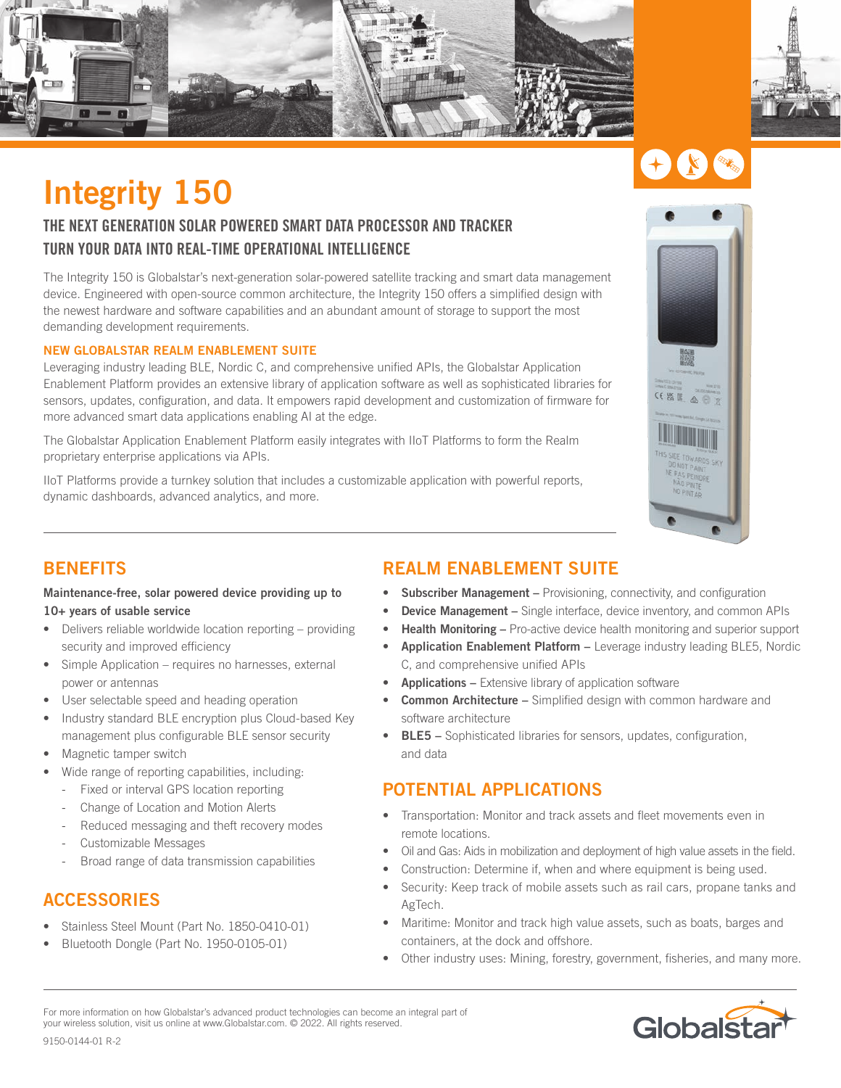





# **Integrity 150**

## THE NEXT GENERATION SOLAR POWERED SMART DATA PROCESSOR AND TRACKER TURN YOUR DATA INTO REAL-TIME OPERATIONAL INTELLIGENCE

The Integrity 150 is Globalstar's next-generation solar-powered satellite tracking and smart data management device. Engineered with open-source common architecture, the Integrity 150 offers a simplified design with the newest hardware and software capabilities and an abundant amount of storage to support the most demanding development requirements.

#### **NEW GLOBALSTAR REALM ENABLEMENT SUITE**

Leveraging industry leading BLE, Nordic C, and comprehensive unified APIs, the Globalstar Application Enablement Platform provides an extensive library of application software as well as sophisticated libraries for sensors, updates, configuration, and data. It empowers rapid development and customization of firmware for more advanced smart data applications enabling AI at the edge.

The Globalstar Application Enablement Platform easily integrates with IIoT Platforms to form the Realm proprietary enterprise applications via APIs.

IIoT Platforms provide a turnkey solution that includes a customizable application with powerful reports, dynamic dashboards, advanced analytics, and more.



### **BENEFITS**

#### **Maintenance-free, solar powered device providing up to 10+ years of usable service**

- Delivers reliable worldwide location reporting providing security and improved efficiency
- Simple Application requires no harnesses, external power or antennas
- User selectable speed and heading operation
- Industry standard BLE encryption plus Cloud-based Key management plus configurable BLE sensor security
- Magnetic tamper switch
- Wide range of reporting capabilities, including:
	- Fixed or interval GPS location reporting
	- Change of Location and Motion Alerts
	- Reduced messaging and theft recovery modes
	- Customizable Messages
	- Broad range of data transmission capabilities

## **ACCESSORIES**

- Stainless Steel Mount (Part No. 1850-0410-01)
- Bluetooth Dongle (Part No. 1950-0105-01)

## **REALM ENABLEMENT SUITE**

- **Subscriber Management** Provisioning, connectivity, and configuration
- **• Device Management** Single interface, device inventory, and common APIs
	- **• Health Monitoring –** Pro-active device health monitoring and superior support
- **• Application Enablement Platform** Leverage industry leading BLE5, Nordic C, and comprehensive unified APIs
- **• Applications** Extensive library of application software
- **Common Architecture –** Simplified design with common hardware and software architecture
- **• BLE5** Sophisticated libraries for sensors, updates, configuration, and data

# **POTENTIAL APPLICATIONS**

- Transportation: Monitor and track assets and fleet movements even in remote locations.
- Oil and Gas: Aids in mobilization and deployment of high value assets in the field.
- Construction: Determine if, when and where equipment is being used.
- Security: Keep track of mobile assets such as rail cars, propane tanks and AgTech.
- Maritime: Monitor and track high value assets, such as boats, barges and containers, at the dock and offshore.
- Other industry uses: Mining, forestry, government, fisheries, and many more.